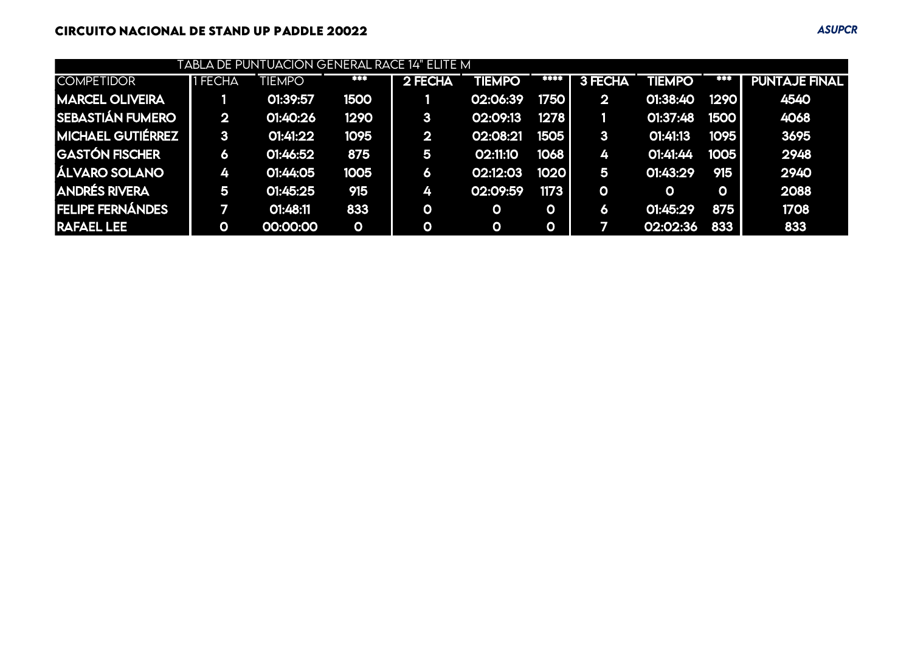## **CIRCUITO NACIONAL DE STAND UP PADDLE 20022** *ASUPCR*

| TABLA DE PUNTUACIÓN GENERAL RACE 14" ELITE M |                         |               |              |                |              |             |              |          |             |                      |  |  |
|----------------------------------------------|-------------------------|---------------|--------------|----------------|--------------|-------------|--------------|----------|-------------|----------------------|--|--|
| <b>COMPETIDOR</b>                            | I FECHA                 | <b>TIEMPO</b> | ***          | 2 FECHA        | TIEMPO       | 33.33       | 3 FECHA      | TIEMPO   | 建苯苯         | <b>PUNTAJE FINAL</b> |  |  |
| <b>MARCEL OLIVEIRA</b>                       |                         | 01:39:57      | <b>1500</b>  |                | 02:06:39     | 1750        | $\mathbf{2}$ | 01:38:40 | 1290        | 4540                 |  |  |
| SEBASTIÁN FUMERO                             | $\overline{\mathbf{2}}$ | 01:40:26      | 1290         | 3 <sup>1</sup> | 02:09:13     | 1278        |              | 01:37:48 | <b>1500</b> | 4068                 |  |  |
| <b>MICHAEL GUTIÉRREZ</b>                     | $\mathbf{3}$            | 01:41:22      | 1095         | $\mathbf{2}$   | 02:08:21     | 1505        | 3            | 01:41:13 | 1095        | 3695                 |  |  |
| GASTÓN FISCHER                               | 6                       | 01:46:52      | 875          | 5              | 02:11:10     | 1068        | 4            | 01:41:44 | 1005        | 2948                 |  |  |
| <b>ÁLVARO SOLANO</b>                         | 4                       | 01:44:05      | 1005         | 6              | 02:12:03     | 1020        | 5            | 01:43:29 | 915         | 2940                 |  |  |
| <b>ANDRÉS RIVERA</b>                         | 5                       | 01:45:25      | 915          | 4              | 02:09:59     | 1173        | $\mathbf{o}$ | O        | $\mathbf 0$ | 2088                 |  |  |
| <b>FELIPE FERNÁNDES</b>                      |                         | 01:48:11      | 833          | $\mathbf 0$    | $\mathbf 0$  | $\mathbf O$ | 6            | 01:45:29 | 875         | 1708                 |  |  |
| <b>RAFAEL LEE</b>                            | O                       | 00:00:00      | $\mathbf{o}$ | $\mathbf O$    | $\mathbf{o}$ | $\mathbf 0$ | 77           | 02:02:36 | 833         | 833                  |  |  |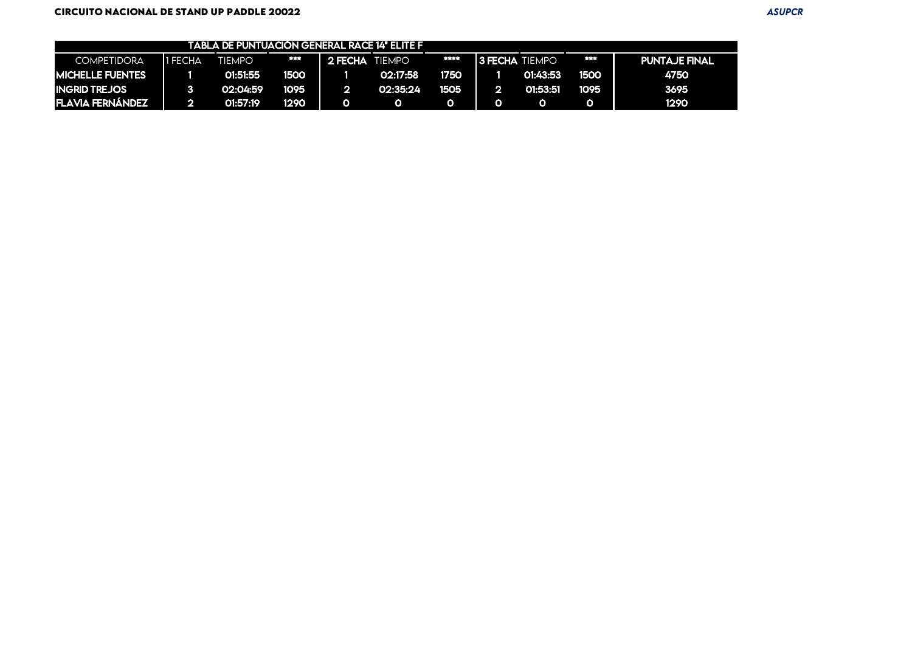|                         |         | TABLA DE PUNTUACION GENERAL RACE 14" ELITE F |      |                    |               |      |                       |          |      |                      |
|-------------------------|---------|----------------------------------------------|------|--------------------|---------------|------|-----------------------|----------|------|----------------------|
| <b>COMPETIDORA</b>      | 1 FECHA | <b>TIEMPO</b>                                | ***  | <b>N</b> 2 FECHA T | <b>TIEMPO</b> | **** | <b>3 FECHA TIEMPO</b> |          | ***  | <b>PUNTAJE FINAL</b> |
| <b>MICHELLE FUENTES</b> |         | 01:51:55                                     | 1500 |                    | 02:17:58      | 1750 |                       | 01:43:53 | 1500 | 4750                 |
| <b>INGRID TREJOS</b>    |         | 02:04:59                                     | 1095 |                    | 02:35:24      | 1505 |                       | 01:53:51 | 1095 | 3695                 |
| <b>FLAVIA FERNÁNDEZ</b> |         | 01:57:19                                     | 1290 |                    |               |      |                       |          |      | 1290                 |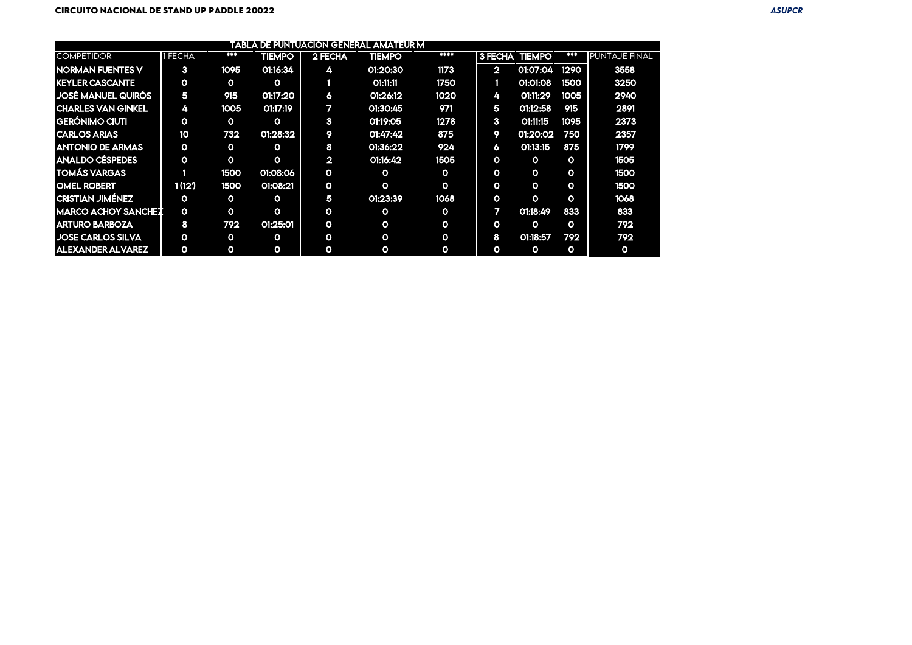|                           |              |              |               |                | <b>TABLA DE PUNTUACIÓN GENERAL AMATEUR M</b> |              |                |                       |              |                      |
|---------------------------|--------------|--------------|---------------|----------------|----------------------------------------------|--------------|----------------|-----------------------|--------------|----------------------|
| <b>COMPETIDOR</b>         | <b>FECHA</b> | ***          | <b>TIEMPO</b> | 2 FECHA        | <b>TIEMPO</b>                                | <b>EXXX3</b> |                | <b>3 FECHA TIEMPO</b> | 81 E F       | <b>PUNTAJE FINAL</b> |
| <b>NORMAN FUENTES V</b>   | 3            | 1095         | 01:16:34      | 4              | 01:20:30                                     | 1173         | $\overline{2}$ | 01:07:04              | 1290         | 3558                 |
| <b>KEYLER CASCANTE</b>    | $\mathbf{o}$ | $\circ$      | $\circ$       |                | 01:11:11                                     | 1750         |                | 01:01:08              | 1500         | 3250                 |
| <b>JOSÉ MANUEL QUIRÓS</b> | 5            | 915          | 01:17:20      | 6              | 01:26:12                                     | 1020         | 4              | 01:11:29              | 1005         | 2940                 |
| <b>CHARLES VAN GINKEL</b> | 4            | 1005         | 01:17:19      | $\mathbf{z}$   | 01:30:45                                     | 971          | 5              | O1:12:58              | 915          | 2891                 |
| <b>GERÓNIMO CIUTI</b>     | $\mathbf{o}$ | $\mathbf{o}$ | O             | 3              | 01:19:05                                     | 1278         | 3              | 01:11:15              | 1095         | 2373                 |
| <b>CARLOS ARIAS</b>       | 10           | 732          | 01:28:32      | 9              | O1:47:42                                     | 875          | 9              | 01:20:02              | 750          | 2357                 |
| <b>ANTONIO DE ARMAS</b>   | $\mathbf{o}$ | $\mathbf{o}$ | O             | 8              | 01:36:22                                     | 924          | Ô.             | O1:13:15              | 875          | 1799                 |
| ANALDO CÉSPEDES           | $\mathbf{o}$ | $\mathbf{o}$ | $\Omega$      | $\overline{2}$ | 01:16:42                                     | 1505         | $\mathbf{o}$   | $\mathbf{o}$          | $\mathbf{o}$ | 1505                 |
| TOMÁS VARGAS              |              | 1500         | 01:08:06      | О              | $\circ$                                      | $\mathbf{o}$ | $\mathbf{o}$   | $\mathbf{o}$          | $\mathbf{o}$ | 1500                 |
| <b>OMEL ROBERT</b>        | 1(12)        | 1500         | 01:08:21      | $\mathbf{o}$   | $\mathbf{o}$                                 | $\mathbf{o}$ | $\mathbf{o}$   | $\mathbf{o}$          | $\circ$      | 1500                 |
| <b>CRISTIAN JIMÉNEZ</b>   | $\mathbf{o}$ | $\mathbf{o}$ | $\circ$       | 5              | 01:23:39                                     | 1068         | $\mathbf{o}$   | $\Omega$              | $\mathbf{o}$ | 1068                 |
| MARCO ACHOY SANCHEZ       | $\mathbf{o}$ | $\mathbf{o}$ | O             | О              | $\mathbf{o}$                                 | $\mathbf{o}$ |                | 01:18:49              | 833          | 833                  |
| <b>ARTURO BARBOZA</b>     | 8            | 792          | 01:25:01      | $\mathbf{o}$   | $\mathbf{o}$                                 | $\circ$      | $\Omega$       | $\circ$               | $\Omega$     | 792                  |
| <b>JOSE CARLOS SILVA</b>  | $\mathbf{o}$ | $\circ$      | $\circ$       | О              | O                                            | $\circ$      | 8              | 01:18:57              | 792          | 792                  |
| <b>ALEXANDER ALVAREZ</b>  | $\mathbf{o}$ | $\mathbf{o}$ | O             | О              | 0                                            | $\circ$      | $\Omega$       | O                     | $\mathbf{o}$ | ю.                   |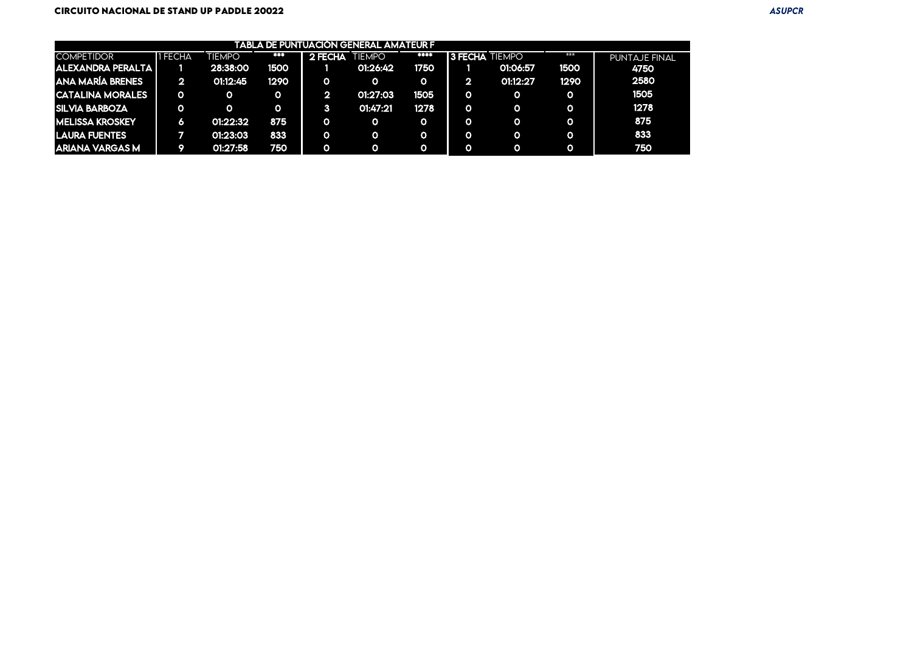|                          |         |               |      |                       | I TABLA DE PUNTUACIÓN GENERAL AMATEUR F |         |                       |          |          |               |
|--------------------------|---------|---------------|------|-----------------------|-----------------------------------------|---------|-----------------------|----------|----------|---------------|
| <b>COMPETIDOR</b>        | 1 FECHA | <b>TIEMPO</b> | ***  | <b>2 FECHA TIEMPO</b> |                                         | 883 E I | <b>3 FECHA TIEMPO</b> |          | ***      | PUNTAJE FINAL |
| <b>ALEXANDRA PERALTA</b> |         | 28:38:00      | 1500 |                       | 01:26:42                                | 1750    |                       | 01:06:57 | 1500     | 4750          |
| ANA MARÍA BRENES         | ×ъ      | 01:12:45      | 1290 | O                     | О                                       | o       |                       | 01:12:27 | 1290     | 2580          |
| <b>CATALINA MORALES</b>  |         |               |      |                       | 01:27:03                                | 1505    |                       |          | $\Omega$ | 1505          |
| <b>SILVIA BARBOZA</b>    | O       |               |      |                       | 01:47:21                                | 1278    |                       |          | $\Omega$ | 1278          |
| <b>MELISSA KROSKEY</b>   | Δ       | 01:22:32      | 875  | O.                    | О                                       | O)      |                       |          | $\Omega$ | 875           |
| <b>LAURA FUENTES</b>     |         | 01:23:03      | 833  | O.                    | о                                       | O)      |                       |          | $\Omega$ | 833           |
| ARIANA VARGAS M          |         | 01:27:58      | 750  | Ο                     |                                         |         |                       |          | $\Omega$ | 750           |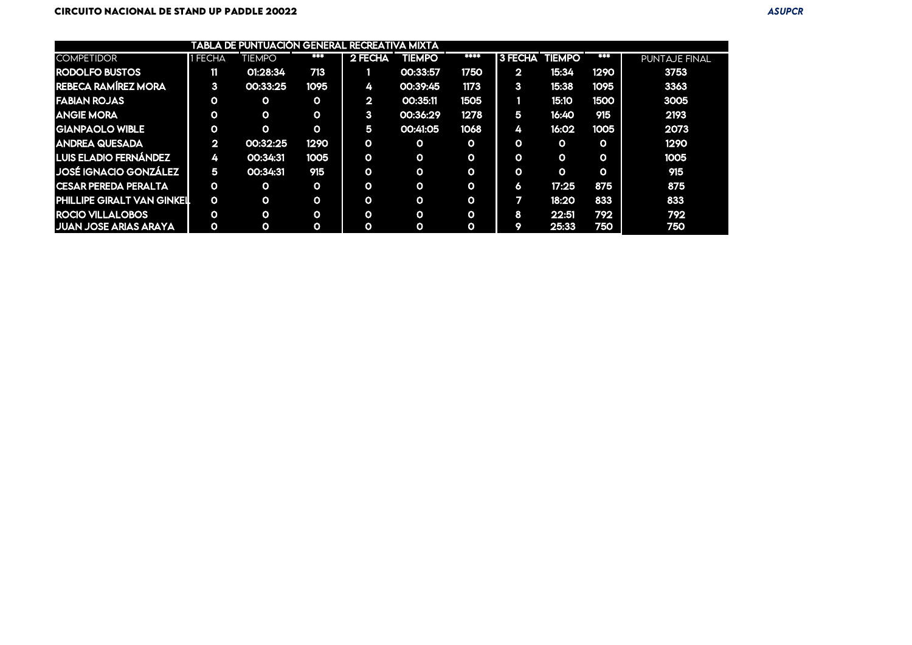|                              |                | TABLA DE PUNTUACIÓN GENERAL RECREATIVA MIXTA |              |              |               |                         |                       |              |          |               |
|------------------------------|----------------|----------------------------------------------|--------------|--------------|---------------|-------------------------|-----------------------|--------------|----------|---------------|
| <b>COMPETIDOR</b>            | 1 FECHA        | TIEMPO                                       | ***          | 2 FECHA      | <b>TIEMPO</b> | ****                    | <b>3 FECHA TIEMPO</b> |              | 寒寒帯      | PUNTAJE FINAL |
| <b>RODOLFO BUSTOS</b>        | ii L           | 01:28:34                                     | 713          |              | 00:33:57      | 1750                    | $2^{\bullet}$         | 15:34        | 1290     | 3753          |
| <b>REBECA RAMÍREZ MORA</b>   | 3 <sup>7</sup> | 00:33:25                                     | 1095         | 4            | 00:39:45      | 1173                    | $\mathbf{3}$          | 15:38        | 1095     | 3363          |
| <b>FABIAN ROJAS</b>          | Ο              | Ο                                            | $\Omega$     | $\mathbf{2}$ | 00:35:11      | 1505                    |                       | 15:10        | 1500     | 3005          |
| <b>ANGIE MORA</b>            | 0              | O                                            | $\mathbf{o}$ | $\mathbf{3}$ | 00:36:29      | 1278                    | 5                     | 16:40        | 915      | 2193          |
| <b>GIANPAOLO WIBLE</b>       | 0              | Ο                                            | $\mathbf{o}$ | 5            | 00:41:05      | 1068                    | 4                     | 16:02        | 1005     | 2073          |
| <b>ANDREA QUESADA</b>        | $2_{\bullet}$  | 00:32:25                                     | 1290         | $\Omega$     | $\Omega$      | $\overline{\mathbf{o}}$ | O.                    | $\mathbf{o}$ | $\Omega$ | 1290          |
| LUIS ELADIO FERNÁNDEZ        | 4.             | 00:34:31                                     | 1005         | O            | $\Omega$      | O                       | 0                     | $\mathbf{o}$ | $\circ$  | 1005          |
| JOSÉ IGNACIO GONZÁLEZ        | 5              | 00:34:31                                     | 915          | O            | $\Omega$      | 0                       | 0                     | $\mathbf{o}$ | $\Omega$ | 915           |
| I CESAR PEREDA PERALTA       | O              | O                                            | $\Omega$     | O            | $\Omega$      | O                       | $\circ$               | 17:25        | 875      | 875           |
| PHILLIPE GIRALT VAN GINKEIL  | $\mathbf{o}$   | O                                            | $\mathbf{o}$ | O            | $\Omega$      | O                       | 7                     | 18:20        | 833      | 833           |
| <b>ROCIO VILLALOBOS</b>      | O              | O                                            | $\mathbf{o}$ | O            | $\Omega$      | $\mathbf{o}$            | 8                     | 22:51        | 792      | 792           |
| <b>JUAN JOSE ARIAS ARAYA</b> | 0              | $\mathbf{o}$                                 | $\circ$      | O            | $\Omega$      | О                       |                       | 25:33        | 750      | 750           |